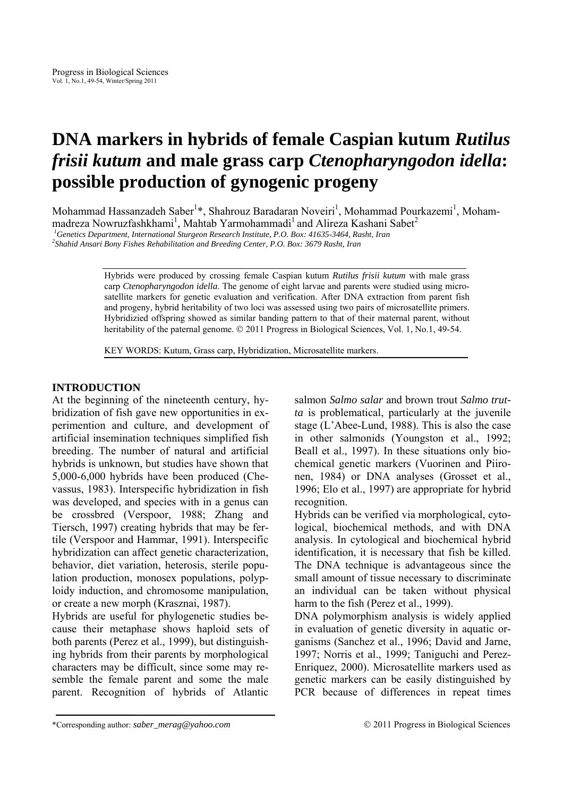# **DNA markers in hybrids of female Caspian kutum** *Rutilus frisii kutum* **and male grass carp** *Ctenopharyngodon idella***: possible production of gynogenic progeny**

Mohammad Hassanzadeh Saber<sup>1\*</sup>, Shahrouz Baradaran Noveiri<sup>1</sup>, Mohammad Pourkazemi<sup>1</sup>, Mohammadreza Nowruzfashkhami<sup>1</sup>, Mahtab Yarmohammadi<sup>1</sup> and Alireza Kashani Sabet<sup>2</sup>

<sup>1</sup> Genetics Department, International Sturgeon Research Institute, P.O. Box: 41635-3464, Rasht, Iran <sup>2</sup>Shahid Anggri Boxy Fishes Behahilitation and Braeding Contae B.O. Box: 2670 Basht, Iran

*Shahid Ansari Bony Fishes Rehabilitation and Breeding Center, P.O. Box: 3679 Rasht, Iran* 

Hybrids were produced by crossing female Caspian kutum *Rutilus frisii kutum* with male grass carp *Ctenopharyngodon idella*. The genome of eight larvae and parents were studied using microsatellite markers for genetic evaluation and verification. After DNA extraction from parent fish and progeny, hybrid heritability of two loci was assessed using two pairs of microsatellite primers. Hybridizied offspring showed as similar banding pattern to that of their maternal parent, without heritability of the paternal genome. © 2011 Progress in Biological Sciences, Vol. 1, No.1, 49-54.

KEY WORDS: Kutum, Grass carp, Hybridization, Microsatellite markers.

# **INTRODUCTION**

At the beginning of the nineteenth century, hybridization of fish gave new opportunities in experimention and culture, and development of artificial insemination techniques simplified fish breeding. The number of natural and artificial hybrids is unknown, but studies have shown that 5,000-6,000 hybrids have been produced (Chevassus, 1983). Interspecific hybridization in fish was developed, and species with in a genus can be crossbred (Verspoor, 1988; Zhang and Tiersch, 1997) creating hybrids that may be fertile (Verspoor and Hammar, 1991). Interspecific hybridization can affect genetic characterization, behavior, diet variation, heterosis, sterile population production, monosex populations, polyploidy induction, and chromosome manipulation, or create a new morph (Krasznai, 1987).

Hybrids are useful for phylogenetic studies because their metaphase shows haploid sets of both parents (Perez et al., 1999), but distinguishing hybrids from their parents by morphological characters may be difficult, since some may resemble the female parent and some the male parent. Recognition of hybrids of Atlantic salmon *Salmo salar* and brown trout *Salmo trutta* is problematical, particularly at the juvenile stage (L'Abee-Lund, 1988). This is also the case in other salmonids (Youngston et al., 1992; Beall et al., 1997). In these situations only biochemical genetic markers (Vuorinen and Piironen, 1984) or DNA analyses (Grosset et al., 1996; Elo et al., 1997) are appropriate for hybrid recognition.

Hybrids can be verified via morphological, cytological, biochemical methods, and with DNA analysis. In cytological and biochemical hybrid identification, it is necessary that fish be killed. The DNA technique is advantageous since the small amount of tissue necessary to discriminate an individual can be taken without physical harm to the fish (Perez et al., 1999).

DNA polymorphism analysis is widely applied in evaluation of genetic diversity in aquatic organisms (Sanchez et al., 1996; David and Jarne, 1997; Norris et al., 1999; Taniguchi and Perez-Enriquez, 2000). Microsatellite markers used as genetic markers can be easily distinguished by PCR because of differences in repeat times

<sup>\*</sup>Corresponding author: *saber\_merag@yahoo.com* © 2011 Progress in Biological Sciences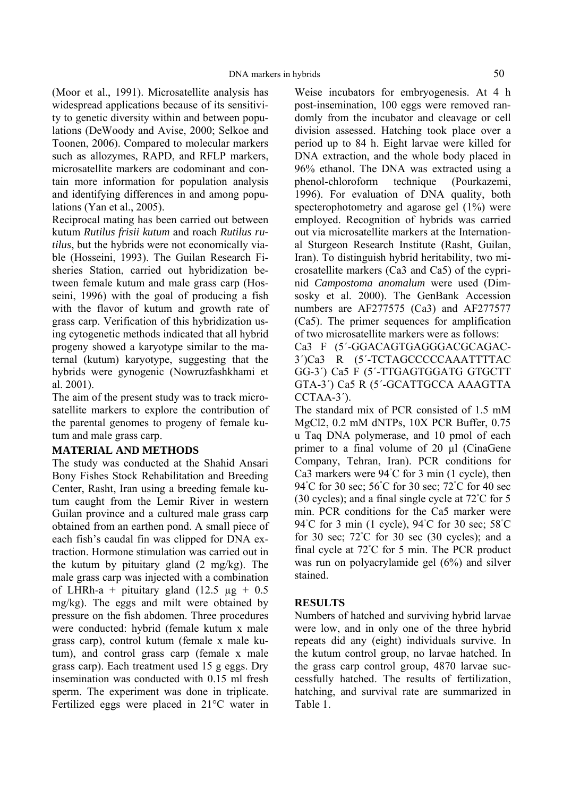(Moor et al., 1991). Microsatellite analysis has widespread applications because of its sensitivity to genetic diversity within and between populations (DeWoody and Avise, 2000; Selkoe and Toonen, 2006). Compared to molecular markers such as allozymes, RAPD, and RFLP markers, microsatellite markers are codominant and contain more information for population analysis and identifying differences in and among populations (Yan et al., 2005).

Reciprocal mating has been carried out between kutum *Rutilus frisii kutum* and roach *Rutilus rutilus*, but the hybrids were not economically viable (Hosseini, 1993). The Guilan Research Fisheries Station, carried out hybridization between female kutum and male grass carp (Hosseini, 1996) with the goal of producing a fish with the flavor of kutum and growth rate of grass carp. Verification of this hybridization using cytogenetic methods indicated that all hybrid progeny showed a karyotype similar to the maternal (kutum) karyotype, suggesting that the hybrids were gynogenic (Nowruzfashkhami et al. 2001).

The aim of the present study was to track microsatellite markers to explore the contribution of the parental genomes to progeny of female kutum and male grass carp.

#### **MATERIAL AND METHODS**

The study was conducted at the Shahid Ansari Bony Fishes Stock Rehabilitation and Breeding Center, Rasht, Iran using a breeding female kutum caught from the Lemir River in western Guilan province and a cultured male grass carp obtained from an earthen pond. A small piece of each fish's caudal fin was clipped for DNA extraction. Hormone stimulation was carried out in the kutum by pituitary gland (2 mg/kg). The male grass carp was injected with a combination of LHRh-a + pituitary gland (12.5  $\mu$ g + 0.5 mg/kg). The eggs and milt were obtained by pressure on the fish abdomen. Three procedures were conducted: hybrid (female kutum x male grass carp), control kutum (female x male kutum), and control grass carp (female x male grass carp). Each treatment used 15 g eggs. Dry insemination was conducted with 0.15 ml fresh sperm. The experiment was done in triplicate. Fertilized eggs were placed in 21°C water in Weise incubators for embryogenesis. At 4 h post-insemination, 100 eggs were removed randomly from the incubator and cleavage or cell division assessed. Hatching took place over a period up to 84 h. Eight larvae were killed for DNA extraction, and the whole body placed in 96% ethanol. The DNA was extracted using a phenol-chloroform technique (Pourkazemi, 1996). For evaluation of DNA quality, both specterophotometry and agarose gel (1%) were employed. Recognition of hybrids was carried out via microsatellite markers at the International Sturgeon Research Institute (Rasht, Guilan, Iran). To distinguish hybrid heritability, two microsatellite markers (Ca3 and Ca5) of the cyprinid *Campostoma anomalum* were used (Dimsosky et al. 2000). The GenBank Accession numbers are AF277575 (Ca3) and AF277577 (Ca5). The primer sequences for amplification of two microsatellite markers were as follows:

Ca3 F (5´-GGACAGTGAGGGACGCAGAC-3´)Ca3 R (5´-TCTAGCCCCCAAATTTTAC GG-3´) Ca5 F (5´-TTGAGTGGATG GTGCTT GTA-3´) Ca5 R (5´-GCATTGCCA AAAGTTA CCTAA-3´).

The standard mix of PCR consisted of 1.5 mM MgCl2, 0.2 mM dNTPs, 10X PCR Buffer, 0.75 u Taq DNA polymerase, and 10 pmol of each primer to a final volume of 20 µl (CinaGene Company, Tehran, Iran). PCR conditions for Ca3 markers were 94◦ C for 3 min (1 cycle), then 94°C for 30 sec; 56°C for 30 sec; 72°C for 40 sec (30 cycles); and a final single cycle at 72°C for 5 min. PCR conditions for the Ca5 marker were 94℃ for 3 min (1 cycle), 94℃ for 30 sec; 58℃ for 30 sec;  $72^{\circ}$ C for 30 sec (30 cycles); and a final cycle at 72°C for 5 min. The PCR product was run on polyacrylamide gel (6%) and silver stained.

## **RESULTS**

Numbers of hatched and surviving hybrid larvae were low, and in only one of the three hybrid repeats did any (eight) individuals survive. In the kutum control group, no larvae hatched. In the grass carp control group, 4870 larvae successfully hatched. The results of fertilization, hatching, and survival rate are summarized in Table 1.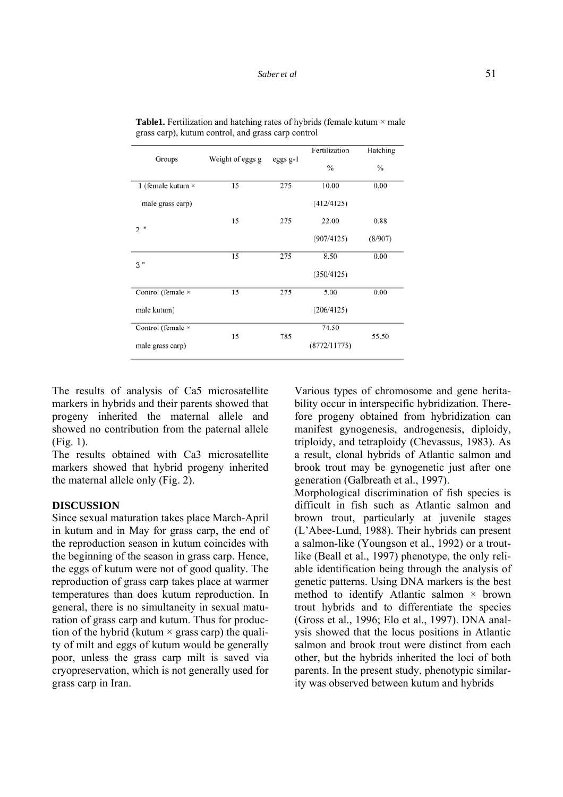| Groups                                | Weight of eggs g | eggs $g-1$ | Fertilization | Hatching      |
|---------------------------------------|------------------|------------|---------------|---------------|
|                                       |                  |            | $\%$          | $\frac{0}{0}$ |
| 1 (female kutum ×                     | 15               | 275        | 10.00         | 0.00          |
| male grass carp)                      |                  |            | (412/4125)    |               |
| 2"                                    | 15               | 275        | 22.00         | 0.88          |
|                                       |                  |            | (907/4125)    | (8/907)       |
| 3"                                    | 15               | 275        | 8.50          | 0.00          |
|                                       |                  |            | (350/4125)    |               |
| Control (female ×                     | 15               | 275        | 5.00          | 0.00          |
| male kutum)                           |                  |            | (206/4125)    |               |
| Control (female ×<br>male grass carp) | 15               | 785        | 74.50         | 55.50         |
|                                       |                  |            | (8772/11775)  |               |

**Table1.** Fertilization and hatching rates of hybrids (female kutum  $\times$  male grass carp), kutum control, and grass carp control

The results of analysis of Ca5 microsatellite markers in hybrids and their parents showed that progeny inherited the maternal allele and showed no contribution from the paternal allele (Fig. 1).

The results obtained with Ca3 microsatellite markers showed that hybrid progeny inherited the maternal allele only (Fig. 2).

## **DISCUSSION**

Since sexual maturation takes place March-April in kutum and in May for grass carp, the end of the reproduction season in kutum coincides with the beginning of the season in grass carp. Hence, the eggs of kutum were not of good quality. The reproduction of grass carp takes place at warmer temperatures than does kutum reproduction. In general, there is no simultaneity in sexual maturation of grass carp and kutum. Thus for production of the hybrid (kutum  $\times$  grass carp) the quality of milt and eggs of kutum would be generally poor, unless the grass carp milt is saved via cryopreservation, which is not generally used for grass carp in Iran.

Various types of chromosome and gene heritability occur in interspecific hybridization. Therefore progeny obtained from hybridization can manifest gynogenesis, androgenesis, diploidy, triploidy, and tetraploidy (Chevassus, 1983). As a result, clonal hybrids of Atlantic salmon and brook trout may be gynogenetic just after one generation (Galbreath et al., 1997).

Morphological discrimination of fish species is difficult in fish such as Atlantic salmon and brown trout, particularly at juvenile stages (L'Abee-Lund, 1988). Their hybrids can present a salmon-like (Youngson et al., 1992) or a troutlike (Beall et al., 1997) phenotype, the only reliable identification being through the analysis of genetic patterns. Using DNA markers is the best method to identify Atlantic salmon  $\times$  brown trout hybrids and to differentiate the species (Gross et al., 1996; Elo et al., 1997). DNA analysis showed that the locus positions in Atlantic salmon and brook trout were distinct from each other, but the hybrids inherited the loci of both parents. In the present study, phenotypic similarity was observed between kutum and hybrids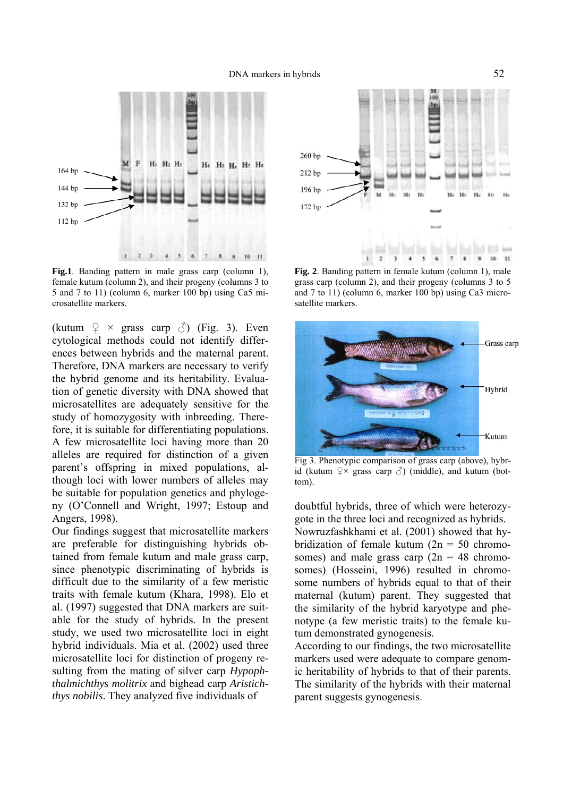

Fig.1. Banding pattern in male grass carp (column 1), female kutum (column 2), and their progeny (columns 3 to 5 and 7 to 11) (column 6, marker 100 bp) using Ca5 microsatellite markers.

(kutum  $\varphi \times \text{grass } \text{carp } \circlearrowleft \circlearrowright$ ) (Fig. 3). Even cytological methods could not identify differences between hybrids and the maternal parent. Therefore, DNA markers are necessary to verify the hybrid genome and its heritability. Evaluation of genetic diversity with DNA showed that microsatellites are adequately sensitive for the study of homozygosity with inbreeding. Therefore, it is suitable for differentiating populations. A few microsatellite loci having more than 20 alleles are required for distinction of a given parent's offspring in mixed populations, although loci with lower numbers of alleles may be suitable for population genetics and phylogeny (O'Connell and Wright, 1997; Estoup and Angers, 1998).

Our findings suggest that microsatellite markers are preferable for distinguishing hybrids obtained from female kutum and male grass carp, since phenotypic discriminating of hybrids is difficult due to the similarity of a few meristic traits with female kutum (Khara, 1998). Elo et al. (1997) suggested that DNA markers are suitable for the study of hybrids. In the present study, we used two microsatellite loci in eight hybrid individuals. Mia et al. (2002) used three microsatellite loci for distinction of progeny resulting from the mating of silver carp *Hypophthalmichthys molitrix* and bighead carp *Aristichthys nobilis*. They analyzed five individuals of



**Fig. 2**. Banding pattern in female kutum (column 1), male grass carp (column 2), and their progeny (columns 3 to 5 and 7 to 11) (column 6, marker 100 bp) using Ca3 microsatellite markers.



Fig 3. Phenotypic comparison of grass carp (above), hybrid (kutum  $\varphi \times$  grass carp  $\varphi$ ) (middle), and kutum (bottom).

doubtful hybrids, three of which were heterozygote in the three loci and recognized as hybrids. Nowruzfashkhami et al. (2001) showed that hybridization of female kutum  $(2n = 50$  chromosomes) and male grass carp  $(2n = 48 \text{ chromosome})$ somes) (Hosseini, 1996) resulted in chromosome numbers of hybrids equal to that of their maternal (kutum) parent. They suggested that the similarity of the hybrid karyotype and phenotype (a few meristic traits) to the female kutum demonstrated gynogenesis.

According to our findings, the two microsatellite markers used were adequate to compare genomic heritability of hybrids to that of their parents. The similarity of the hybrids with their maternal parent suggests gynogenesis.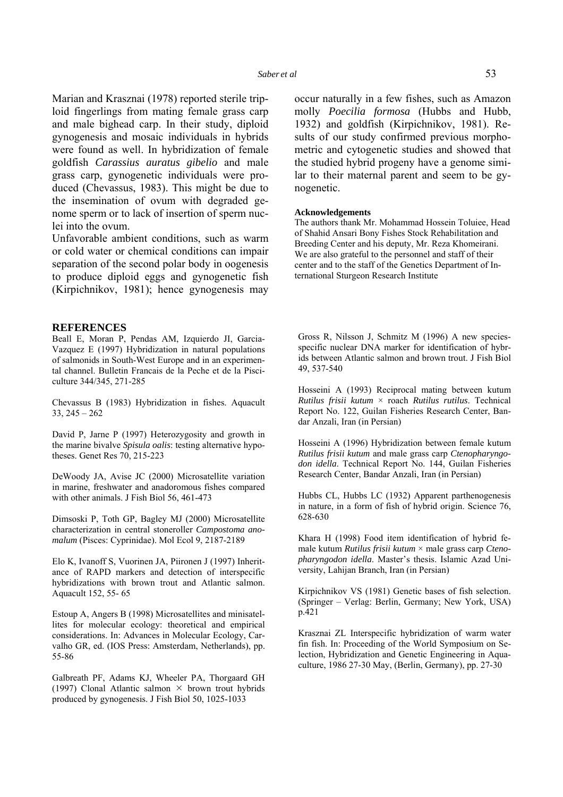Marian and Krasznai (1978) reported sterile triploid fingerlings from mating female grass carp and male bighead carp. In their study, diploid gynogenesis and mosaic individuals in hybrids were found as well. In hybridization of female goldfish *Carassius auratus gibelio* and male grass carp, gynogenetic individuals were produced (Chevassus, 1983). This might be due to the insemination of ovum with degraded genome sperm or to lack of insertion of sperm nuclei into the ovum.

Unfavorable ambient conditions, such as warm or cold water or chemical conditions can impair separation of the second polar body in oogenesis to produce diploid eggs and gynogenetic fish (Kirpichnikov, 1981); hence gynogenesis may

#### **REFERENCES**

Beall E, Moran P, Pendas AM, Izquierdo JI, Garcia-Vazquez E (1997) Hybridization in natural populations of salmonids in South-West Europe and in an experimental channel. Bulletin Francais de la Peche et de la Pisciculture 344/345, 271-285

Chevassus B (1983) Hybridization in fishes. Aquacult 33, 245 – 262

David P, Jarne P (1997) Heterozygosity and growth in the marine bivalve *Spisula oalis*: testing alternative hypotheses. Genet Res 70, 215-223

DeWoody JA, Avise JC (2000) Microsatellite variation in marine, freshwater and anadoromous fishes compared with other animals. J Fish Biol 56, 461-473

Dimsoski P, Toth GP, Bagley MJ (2000) Microsatellite characterization in central stoneroller *Campostoma anomalum* (Pisces: Cyprinidae). Mol Ecol 9, 2187-2189

Elo K, Ivanoff S, Vuorinen JA, Piironen J (1997) Inheritance of RAPD markers and detection of interspecific hybridizations with brown trout and Atlantic salmon. Aquacult 152, 55- 65

Estoup A, Angers B (1998) Microsatellites and minisatellites for molecular ecology: theoretical and empirical considerations. In: Advances in Molecular Ecology, Carvalho GR, ed. (IOS Press: Amsterdam, Netherlands), pp. 55-86

Galbreath PF, Adams KJ, Wheeler PA, Thorgaard GH (1997) Clonal Atlantic salmon  $\times$  brown trout hybrids produced by gynogenesis. J Fish Biol 50, 1025-1033

occur naturally in a few fishes, such as Amazon molly *Poecilia formosa* (Hubbs and Hubb, 1932) and goldfish (Kirpichnikov, 1981). Results of our study confirmed previous morphometric and cytogenetic studies and showed that the studied hybrid progeny have a genome similar to their maternal parent and seem to be gynogenetic.

#### **Acknowledgements**

The authors thank Mr. Mohammad Hossein Toluiee, Head of Shahid Ansari Bony Fishes Stock Rehabilitation and Breeding Center and his deputy, Mr. Reza Khomeirani. We are also grateful to the personnel and staff of their center and to the staff of the Genetics Department of International Sturgeon Research Institute

Gross R, Nilsson J, Schmitz M (1996) A new speciesspecific nuclear DNA marker for identification of hybrids between Atlantic salmon and brown trout. J Fish Biol 49, 537-540

Hosseini A (1993) Reciprocal mating between kutum *Rutilus frisii kutum* × roach *Rutilus rutilus*. Technical Report No. 122, Guilan Fisheries Research Center, Bandar Anzali, Iran (in Persian)

Hosseini A (1996) Hybridization between female kutum *Rutilus frisii kutum* and male grass carp *Ctenopharyngodon idella*. Technical Report No. 144, Guilan Fisheries Research Center, Bandar Anzali, Iran (in Persian)

Hubbs CL, Hubbs LC (1932) Apparent parthenogenesis in nature, in a form of fish of hybrid origin. Science 76, 628-630

Khara H (1998) Food item identification of hybrid female kutum *Rutilus frisii kutum* × male grass carp *Ctenopharyngodon idella*. Master's thesis. Islamic Azad University, Lahijan Branch, Iran (in Persian)

Kirpichnikov VS (1981) Genetic bases of fish selection. (Springer – Verlag: Berlin, Germany; New York, USA) p.421

Krasznai ZL Interspecific hybridization of warm water fin fish. In: Proceeding of the World Symposium on Selection, Hybridization and Genetic Engineering in Aquaculture, 1986 27-30 May, (Berlin, Germany), pp. 27-30